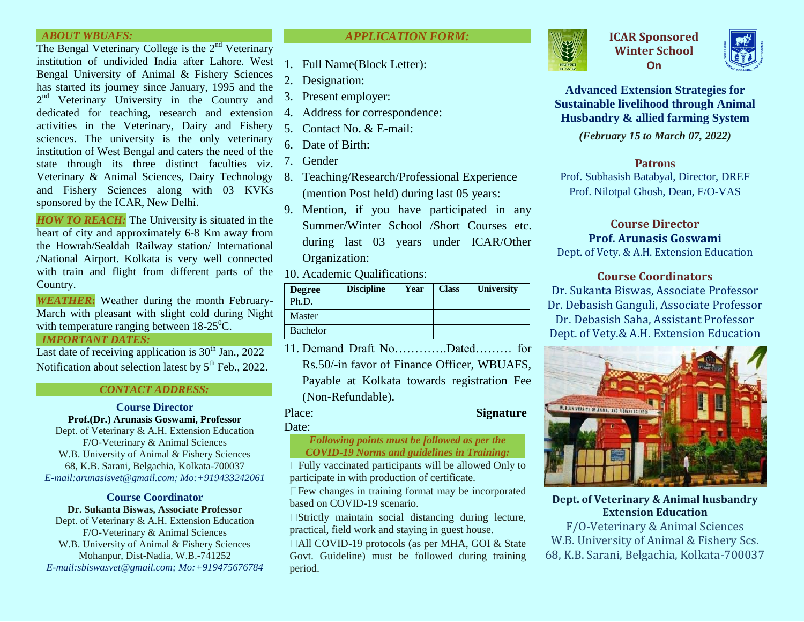## *ABOUT WBUAFS:*

The Bengal Veterinary College is the 2<sup>nd</sup> Veterinary institution of undivided India after Lahore. West Bengal University of Animal & Fishery Sciences has started its journey since January, 1995 and the 2<sup>nd</sup> Veterinary University in the Country and dedicated for teaching, research and extension activities in the Veterinary, Dairy and Fishery sciences. The university is the only veterinary institution of West Bengal and caters the need of the state through its three distinct faculties viz. Veterinary & Animal Sciences, Dairy Technology and Fishery Sciences along with 03 KVKs sponsored by the ICAR, New Delhi.

*HOW TO REACH:* The University is situated in the heart of city and approximately 6-8 Km away from the Howrah/Sealdah Railway station/ International /National Airport. Kolkata is very well connected with train and flight from different parts of the Country.

*WEATHER***:** Weather during the month February-March with pleasant with slight cold during Night with temperature ranging between  $18-25^{\circ}$ C.

## *IMPORTANT DATES:*

Last date of receiving application is  $30<sup>th</sup>$  Jan., 2022 Notification about selection latest by  $5<sup>th</sup>$  Feb., 2022.

## *CONTACT ADDRESS:*

# **Course Director**

**Prof.(Dr.) Arunasis Goswami, Professor** Dept. of Veterinary & A.H. Extension Education F/O-Veterinary & Animal Sciences W.B. University of Animal & Fishery Sciences 68, K.B. Sarani, Belgachia, Kolkata-700037 *E-mail:arunasisvet@gmail.com; Mo:+919433242061*

## **Course Coordinator Dr. Sukanta Biswas, Associate Professor**

Dept. of Veterinary & A.H. Extension Education F/O-Veterinary & Animal Sciences W.B. University of Animal & Fishery Sciences Mohanpur, Dist-Nadia, W.B.-741252 *E-mail:sbiswasvet@gmail.com; Mo:+919475676784*

## *APPLICATION FORM:*

- 1. Full Name(Block Letter):
- 2. Designation:
- 3. Present employer:
- 4. Address for correspondence:
- 5. Contact No. & E-mail:
- 6. Date of Birth:
- 7. Gender
- 8. Teaching/Research/Professional Experience (mention Post held) during last 05 years:
- 9. Mention, if you have participated in any Summer/Winter School /Short Courses etc. during last 03 years under ICAR/Other Organization:

10. Academic Qualifications:

| <b>Degree</b> | <b>Discipline</b> | Year | <b>Class</b> | <b>University</b> |
|---------------|-------------------|------|--------------|-------------------|
| Ph.D.         |                   |      |              |                   |
| <b>Master</b> |                   |      |              |                   |
| Bachelor      |                   |      |              |                   |

11. Demand Draft No………….Dated……… for Rs.50/-in favor of Finance Officer, WBUAFS, Payable at Kolkata towards registration Fee (Non-Refundable).

# Place: **Signature**

## Date:

*Following points must be followed as per the COVID-19 Norms and guidelines in Training:*

Fully vaccinated participants will be allowed Only to participate in with production of certificate.

 $\Box$  Few changes in training format may be incorporated based on COVID-19 scenario.

 $\Box$ Strictly maintain social distancing during lecture, practical, field work and staying in guest house.

□All COVID-19 protocols (as per MHA, GOI & State Govt. Guideline) must be followed during training period.



**ICAR Sponsored Winter School On**



**Advanced Extension Strategies for Sustainable livelihood through Animal Husbandry & allied farming System**

*(February 15 to March 07, 2022)*

# **Patrons**

Prof. Subhasish Batabyal, Director, DREF Prof. Nilotpal Ghosh, Dean, F/O-VAS

## **Course Director Prof. Arunasis Goswami**

Dept. of Vety. & A.H. Extension Education

## **Course Coordinators**

Dr. Sukanta Biswas, Associate Professor Dr. Debasish Ganguli, Associate Professor Dr. Debasish Saha, Assistant Professor Dept. of Vety.& A.H. Extension Education



## **Dept. of Veterinary & Animal husbandry Extension Education**

F/O-Veterinary & Animal Sciences W.B. University of Animal & Fishery Scs. 68, K.B. Sarani, Belgachia, Kolkata-700037